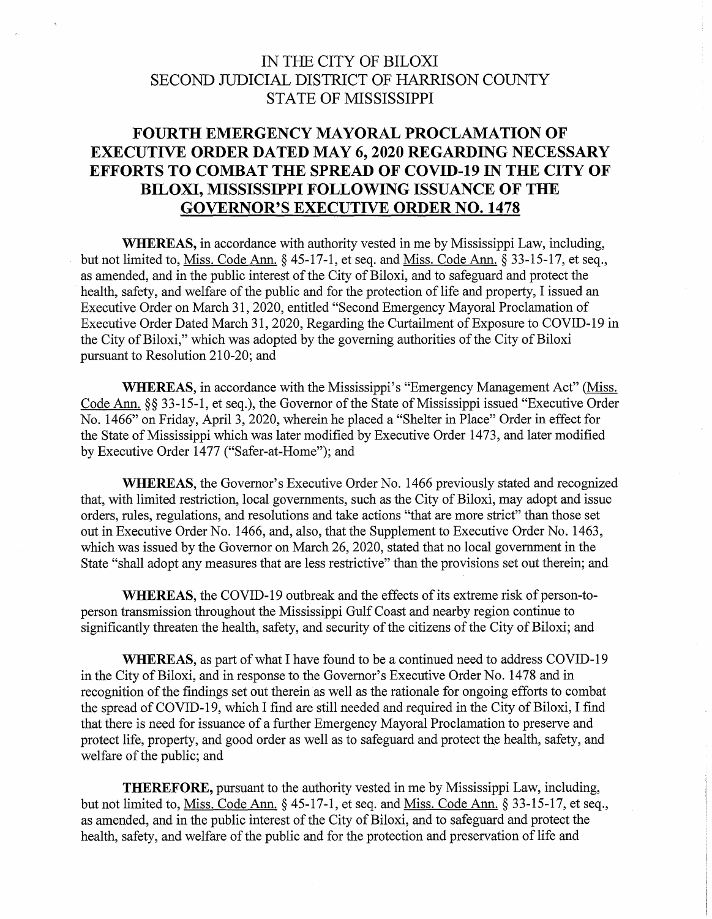## IN THE CITY OF BILOXI SECOND JUDICIAL DISTRICT OF HARRISON COUNTY STATE OF MISSISSIPPI

## **FOURTH EMERGENCY MAYORAL PROCLAMATION OF EXECUTIVE ORDER DATED MAY 6, 2020 REGARDING NECESSARY EFFORTS TO COMBAT THE SPREAD OF COVID-19 IN THE CITY OF BILOXI, MISSISSIPPI FOLLOWING ISSUANCE OF THE GOVERNOR'S EXECUTIVE ORDER NO. 1478**

**WHEREAS,** in accordance with authority vested in me by Mississippi Law, including, but not limited to, Miss. Code Ann. § 45-17-1, et seq. and Miss. Code Ann. § 33-15-17, et seq., as amended, and in the public interest of the City of Biloxi, and to safeguard and protect the health, safety, and welfare of the public and for the protection of life and property, I issued an Executive Order on March 31, 2020, entitled "Second Emergency Mayoral Proclamation of Executive Order Dated March 31, 2020, Regarding the Curtailment of Exposure to COVID-19 in the City of Biloxi," which was adopted by the governing authorities of the City of Biloxi pursuant to Resolution 210-20; and

**WHEREAS,** in accordance with the Mississippi's "Emergency Management Act" (Miss. Code Ann. §§ 33-15-1, et seq.), the Governor of the State of Mississippi issued "Executive Order No. 1466" on Friday, April3, 2020, wherein he placed a "Shelter in Place" Order in effect for the State of Mississippi which was later modified by Executive Order 1473, and later modified by Executive Order 1477 ("Safer-at-Home"); and

**WHEREAS,** the Governor's Executive Order No. 1466 previously stated and recognized that, with limited restriction, local governments, such as the City of Biloxi, may adopt and issue orders, rules, regulations, and resolutions and take actions "that are more strict" than those set out in Executive Order No. 1466, and, also, that the Supplement to Executive Order No. 1463, which was issued by the Governor on March 26, 2020, stated that no local government in the State "shall adopt any measures that are less restrictive" than the provisions set out therein; and

**WHEREAS,** the COVID-19 outbreak and the effects of its extreme risk of person-toperson transmission throughout the Mississippi Gulf Coast and nearby region continue to significantly threaten the health, safety, and security of the citizens of the City of Biloxi; and

**WHEREAS,** as part of what I have found to be a continued need to address COVID-19 in the City of Biloxi, and in response to the Governor's Executive Order No. 14 78 and in recognition of the findings set out therein as well as the rationale for ongoing efforts to combat the spread of COVID-19, which I find are still needed and required in the City of Biloxi, I find that there is need for issuance of a further Emergency Mayoral Proclamation to preserve and protect life, property, and good order as well as to safeguard and protect the health, safety, and welfare of the public; and

**THEREFORE,** pursuant to the authority vested in me by Mississippi Law, including, but not limited to, Miss. Code Ann. § 45-17-1, et seq. and Miss. Code Ann. § 33-15-17, et seq., as amended, and in the public interest of the City of Biloxi, and to safeguard and protect the health, safety, and welfare of the public and for the protection and preservation of life and